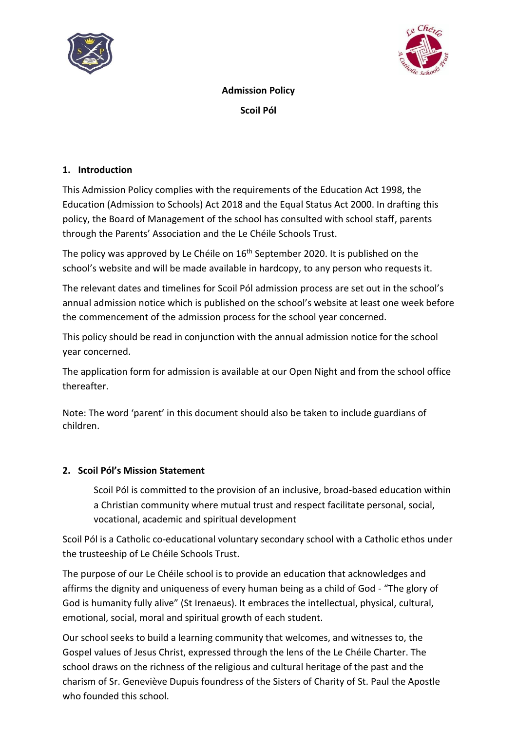



**Admission Policy Scoil Pól**

#### **1. Introduction**

This Admission Policy complies with the requirements of the Education Act 1998, the Education (Admission to Schools) Act 2018 and the Equal Status Act 2000. In drafting this policy, the Board of Management of the school has consulted with school staff, parents through the Parents' Association and the Le Chéile Schools Trust.

The policy was approved by Le Chéile on 16<sup>th</sup> September 2020. It is published on the school's website and will be made available in hardcopy, to any person who requests it.

The relevant dates and timelines for Scoil Pól admission process are set out in the school's annual admission notice which is published on the school's website at least one week before the commencement of the admission process for the school year concerned.

This policy should be read in conjunction with the annual admission notice for the school year concerned.

The application form for admission is available at our Open Night and from the school office thereafter.

Note: The word 'parent' in this document should also be taken to include guardians of children.

#### **2. Scoil Pól's Mission Statement**

Scoil Pól is committed to the provision of an inclusive, broad-based education within a Christian community where mutual trust and respect facilitate personal, social, vocational, academic and spiritual development

Scoil Pól is a Catholic co-educational voluntary secondary school with a Catholic ethos under the trusteeship of Le Chéile Schools Trust.

The purpose of our Le Chéile school is to provide an education that acknowledges and affirms the dignity and uniqueness of every human being as a child of God - "The glory of God is humanity fully alive" (St Irenaeus). It embraces the intellectual, physical, cultural, emotional, social, moral and spiritual growth of each student.

Our school seeks to build a learning community that welcomes, and witnesses to, the Gospel values of Jesus Christ, expressed through the lens of the Le Chéile Charter. The school draws on the richness of the religious and cultural heritage of the past and the charism of Sr. Geneviève Dupuis foundress of the Sisters of Charity of St. Paul the Apostle who founded this school.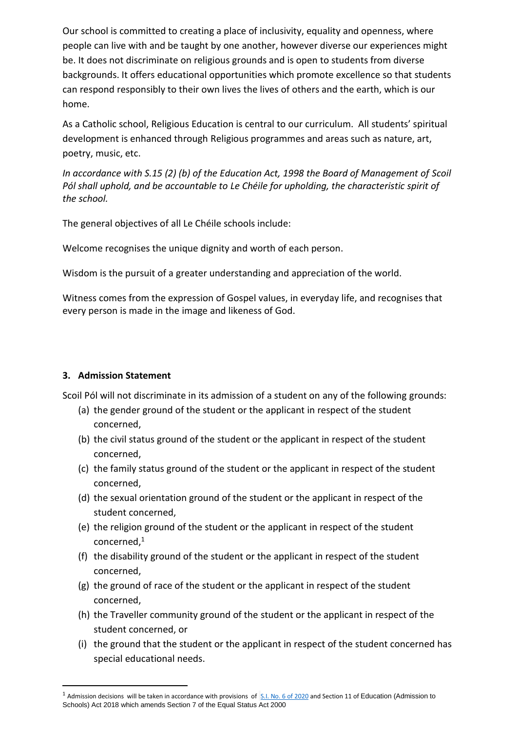Our school is committed to creating a place of inclusivity, equality and openness, where people can live with and be taught by one another, however diverse our experiences might be. It does not discriminate on religious grounds and is open to students from diverse backgrounds. It offers educational opportunities which promote excellence so that students can respond responsibly to their own lives the lives of others and the earth, which is our home.

As a Catholic school, Religious Education is central to our curriculum. All students' spiritual development is enhanced through Religious programmes and areas such as nature, art, poetry, music, etc.

*In accordance with S.15 (2) (b) of the Education Act, 1998 the Board of Management of Scoil Pól shall uphold, and be accountable to Le Chéile for upholding, the characteristic spirit of the school.*

The general objectives of all Le Chéile schools include:

Welcome recognises the unique dignity and worth of each person.

Wisdom is the pursuit of a greater understanding and appreciation of the world.

Witness comes from the expression of Gospel values, in everyday life, and recognises that every person is made in the image and likeness of God.

### **3. Admission Statement**

Scoil Pól will not discriminate in its admission of a student on any of the following grounds:

- (a) the gender ground of the student or the applicant in respect of the student concerned,
- (b) the civil status ground of the student or the applicant in respect of the student concerned,
- (c) the family status ground of the student or the applicant in respect of the student concerned,
- (d) the sexual orientation ground of the student or the applicant in respect of the student concerned,
- (e) the religion ground of the student or the applicant in respect of the student concerned,<sup>1</sup>
- (f) the disability ground of the student or the applicant in respect of the student concerned,
- (g) the ground of race of the student or the applicant in respect of the student concerned,
- (h) the Traveller community ground of the student or the applicant in respect of the student concerned, or
- (i) the ground that the student or the applicant in respect of the student concerned has special educational needs.

 $^1$  Admission decisions will be taken in accordance with provisions of  $\frac{S.I. N0.6 \text{ of } 2020}$  and Section 11 of Education (Admission to Schools) Act 2018 which amends Section 7 of the Equal Status Act 2000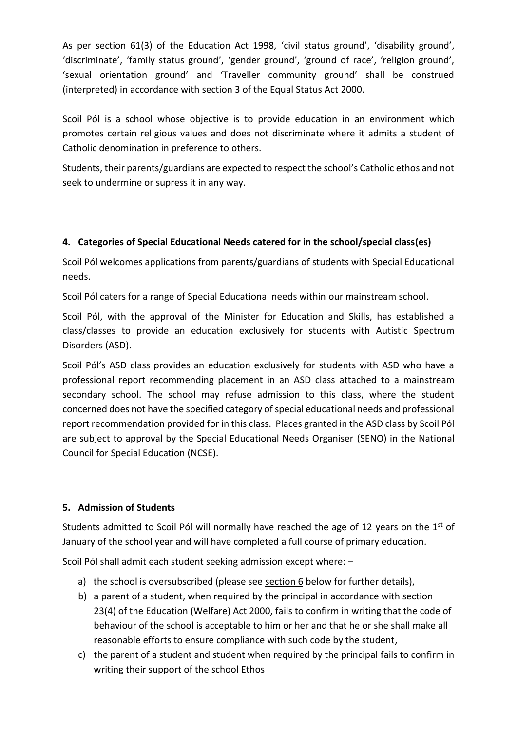As per section 61(3) of the Education Act 1998, 'civil status ground', 'disability ground', 'discriminate', 'family status ground', 'gender ground', 'ground of race', 'religion ground', 'sexual orientation ground' and 'Traveller community ground' shall be construed (interpreted) in accordance with section 3 of the Equal Status Act 2000.

Scoil Pól is a school whose objective is to provide education in an environment which promotes certain religious values and does not discriminate where it admits a student of Catholic denomination in preference to others.

Students, their parents/guardians are expected to respect the school's Catholic ethos and not seek to undermine or supress it in any way.

### **4. Categories of Special Educational Needs catered for in the school/special class(es)**

Scoil Pól welcomes applications from parents/guardians of students with Special Educational needs.

Scoil Pól caters for a range of Special Educational needs within our mainstream school.

Scoil Pól, with the approval of the Minister for Education and Skills, has established a class/classes to provide an education exclusively for students with Autistic Spectrum Disorders (ASD).

Scoil Pól's ASD class provides an education exclusively for students with ASD who have a professional report recommending placement in an ASD class attached to a mainstream secondary school. The school may refuse admission to this class, where the student concerned does not have the specified category of special educational needs and professional report recommendation provided for in this class. Places granted in the ASD class by Scoil Pól are subject to approval by the Special Educational Needs Organiser (SENO) in the National Council for Special Education (NCSE).

### **5. Admission of Students**

Students admitted to Scoil Pól will normally have reached the age of 12 years on the  $1<sup>st</sup>$  of January of the school year and will have completed a full course of primary education.

Scoil Pól shall admit each student seeking admission except where: –

- a) the school is oversubscribed (please see section  $6$  below for further details),
- b) a parent of a student, when required by the principal in accordance with section 23(4) of the Education (Welfare) Act 2000, fails to confirm in writing that the code of behaviour of the school is acceptable to him or her and that he or she shall make all reasonable efforts to ensure compliance with such code by the student,
- c) the parent of a student and student when required by the principal fails to confirm in writing their support of the school Ethos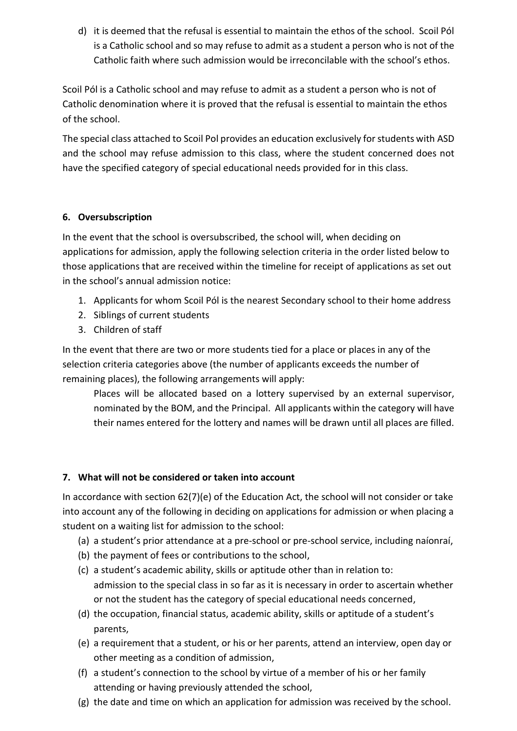d) it is deemed that the refusal is essential to maintain the ethos of the school. Scoil Pól is a Catholic school and so may refuse to admit as a student a person who is not of the Catholic faith where such admission would be irreconcilable with the school's ethos.

Scoil Pól is a Catholic school and may refuse to admit as a student a person who is not of Catholic denomination where it is proved that the refusal is essential to maintain the ethos of the school.

The special class attached to Scoil Pol provides an education exclusively for students with ASD and the school may refuse admission to this class, where the student concerned does not have the specified category of special educational needs provided for in this class.

### <span id="page-3-0"></span>**6. Oversubscription**

In the event that the school is oversubscribed, the school will, when deciding on applications for admission, apply the following selection criteria in the order listed below to those applications that are received within the timeline for receipt of applications as set out in the school's annual admission notice:

- 1. Applicants for whom Scoil Pól is the nearest Secondary school to their home address
- 2. Siblings of current students
- 3. Children of staff

In the event that there are two or more students tied for a place or places in any of the selection criteria categories above (the number of applicants exceeds the number of remaining places), the following arrangements will apply:

Places will be allocated based on a lottery supervised by an external supervisor, nominated by the BOM, and the Principal. All applicants within the category will have their names entered for the lottery and names will be drawn until all places are filled.

### **7. What will not be considered or taken into account**

In accordance with section 62(7)(e) of the Education Act, the school will not consider or take into account any of the following in deciding on applications for admission or when placing a student on a waiting list for admission to the school:

- (a) a student's prior attendance at a pre-school or pre-school service, including naíonraí,
- (b) the payment of fees or contributions to the school,
- (c) a student's academic ability, skills or aptitude other than in relation to: admission to the special class in so far as it is necessary in order to ascertain whether or not the student has the category of special educational needs concerned,
- (d) the occupation, financial status, academic ability, skills or aptitude of a student's parents,
- (e) a requirement that a student, or his or her parents, attend an interview, open day or other meeting as a condition of admission,
- (f) a student's connection to the school by virtue of a member of his or her family attending or having previously attended the school,
- (g) the date and time on which an application for admission was received by the school.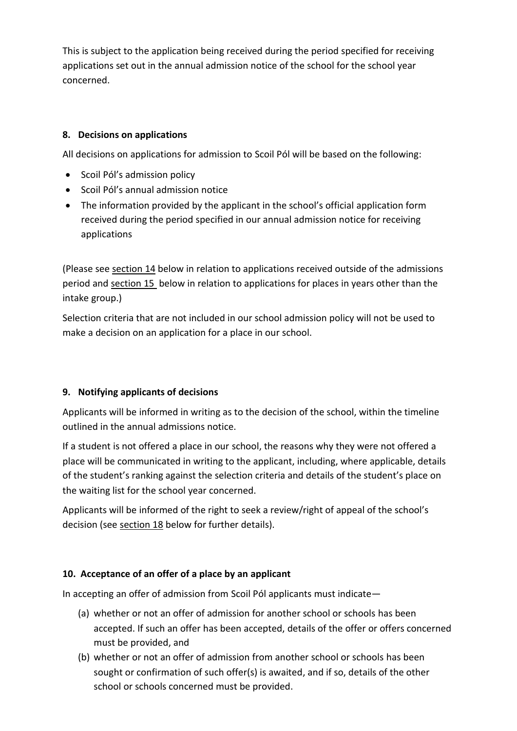This is subject to the application being received during the period specified for receiving applications set out in the annual admission notice of the school for the school year concerned.

### **8. Decisions on applications**

All decisions on applications for admission to Scoil Pól will be based on the following:

- Scoil Pól's admission policy
- Scoil Pól's annual admission notice
- The information provided by the applicant in the school's official application form received during the period specified in our annual admission notice for receiving applications

(Please see [section 14](#page-6-0) below in relation to applications received outside of the admissions period and [section 15](#page-8-0) below in relation to applications for places in years other than the intake group.)

Selection criteria that are not included in our school admission policy will not be used to make a decision on an application for a place in our school.

### **9. Notifying applicants of decisions**

Applicants will be informed in writing as to the decision of the school, within the timeline outlined in the annual admissions notice.

If a student is not offered a place in our school, the reasons why they were not offered a place will be communicated in writing to the applicant, including, where applicable, details of the student's ranking against the selection criteria and details of the student's place on the waiting list for the school year concerned.

Applicants will be informed of the right to seek a review/right of appeal of the school's decision (see [section 18](#page-8-1) below for further details).

### <span id="page-4-0"></span>**10. Acceptance of an offer of a place by an applicant**

In accepting an offer of admission from Scoil Pól applicants must indicate—

- (a) whether or not an offer of admission for another school or schools has been accepted. If such an offer has been accepted, details of the offer or offers concerned must be provided, and
- (b) whether or not an offer of admission from another school or schools has been sought or confirmation of such offer(s) is awaited, and if so, details of the other school or schools concerned must be provided.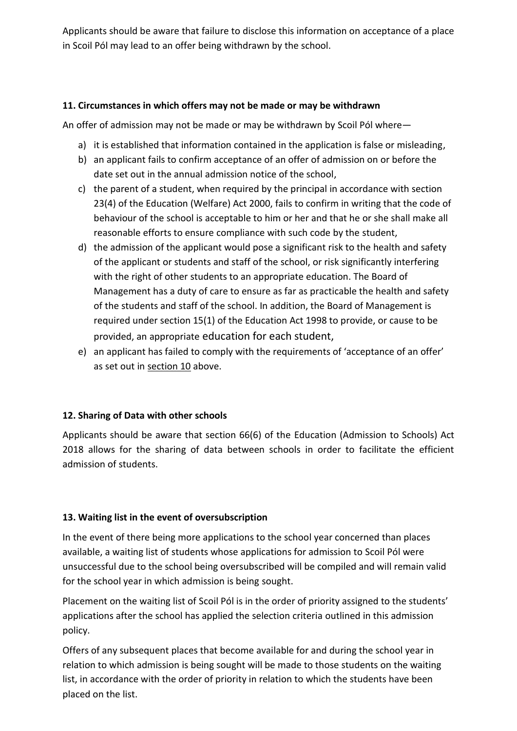Applicants should be aware that failure to disclose this information on acceptance of a place in Scoil Pól may lead to an offer being withdrawn by the school.

#### **11. Circumstances in which offers may not be made or may be withdrawn**

An offer of admission may not be made or may be withdrawn by Scoil Pól where—

- a) it is established that information contained in the application is false or misleading,
- b) an applicant fails to confirm acceptance of an offer of admission on or before the date set out in the annual admission notice of the school,
- c) the parent of a student, when required by the principal in accordance with section 23(4) of the Education (Welfare) Act 2000, fails to confirm in writing that the code of behaviour of the school is acceptable to him or her and that he or she shall make all reasonable efforts to ensure compliance with such code by the student,
- d) the admission of the applicant would pose a significant risk to the health and safety of the applicant or students and staff of the school, or risk significantly interfering with the right of other students to an appropriate education. The Board of Management has a duty of care to ensure as far as practicable the health and safety of the students and staff of the school. In addition, the Board of Management is required under section 15(1) of the Education Act 1998 to provide, or cause to be provided, an appropriate education for each student,
- e) an applicant has failed to comply with the requirements of 'acceptance of an offer' as set out in [section 10](#page-4-0) above.

### **12. Sharing of Data with other schools**

Applicants should be aware that section 66(6) of the Education (Admission to Schools) Act 2018 allows for the sharing of data between schools in order to facilitate the efficient admission of students.

### **13. Waiting list in the event of oversubscription**

In the event of there being more applications to the school year concerned than places available, a waiting list of students whose applications for admission to Scoil Pól were unsuccessful due to the school being oversubscribed will be compiled and will remain valid for the school year in which admission is being sought.

Placement on the waiting list of Scoil Pól is in the order of priority assigned to the students' applications after the school has applied the selection criteria outlined in this admission policy.

Offers of any subsequent places that become available for and during the school year in relation to which admission is being sought will be made to those students on the waiting list, in accordance with the order of priority in relation to which the students have been placed on the list.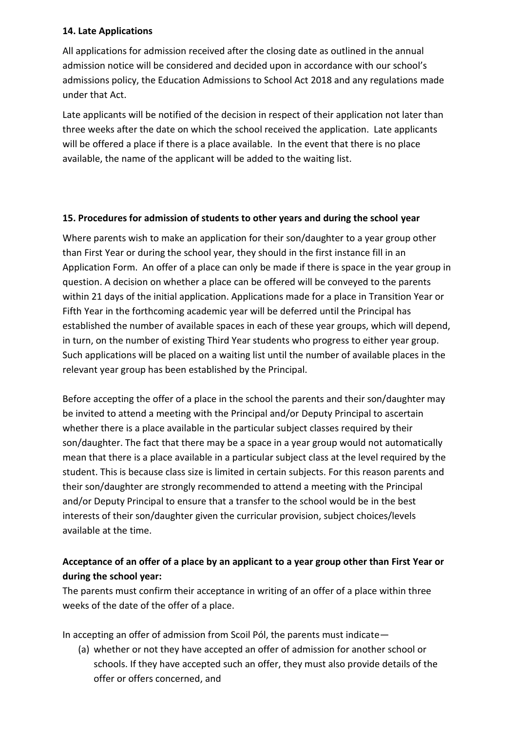#### **14. Late Applications**

All applications for admission received after the closing date as outlined in the annual admission notice will be considered and decided upon in accordance with our school's admissions policy, the Education Admissions to School Act 2018 and any regulations made under that Act.

Late applicants will be notified of the decision in respect of their application not later than three weeks after the date on which the school received the application. Late applicants will be offered a place if there is a place available. In the event that there is no place available, the name of the applicant will be added to the waiting list.

#### <span id="page-6-0"></span>**15. Procedures for admission of students to other years and during the school year**

Where parents wish to make an application for their son/daughter to a year group other than First Year or during the school year, they should in the first instance fill in an Application Form. An offer of a place can only be made if there is space in the year group in question. A decision on whether a place can be offered will be conveyed to the parents within 21 days of the initial application. Applications made for a place in Transition Year or Fifth Year in the forthcoming academic year will be deferred until the Principal has established the number of available spaces in each of these year groups, which will depend, in turn, on the number of existing Third Year students who progress to either year group. Such applications will be placed on a waiting list until the number of available places in the relevant year group has been established by the Principal.

Before accepting the offer of a place in the school the parents and their son/daughter may be invited to attend a meeting with the Principal and/or Deputy Principal to ascertain whether there is a place available in the particular subject classes required by their son/daughter. The fact that there may be a space in a year group would not automatically mean that there is a place available in a particular subject class at the level required by the student. This is because class size is limited in certain subjects. For this reason parents and their son/daughter are strongly recommended to attend a meeting with the Principal and/or Deputy Principal to ensure that a transfer to the school would be in the best interests of their son/daughter given the curricular provision, subject choices/levels available at the time.

# **Acceptance of an offer of a place by an applicant to a year group other than First Year or during the school year:**

The parents must confirm their acceptance in writing of an offer of a place within three weeks of the date of the offer of a place.

In accepting an offer of admission from Scoil Pól, the parents must indicate—

(a) whether or not they have accepted an offer of admission for another school or schools. If they have accepted such an offer, they must also provide details of the offer or offers concerned, and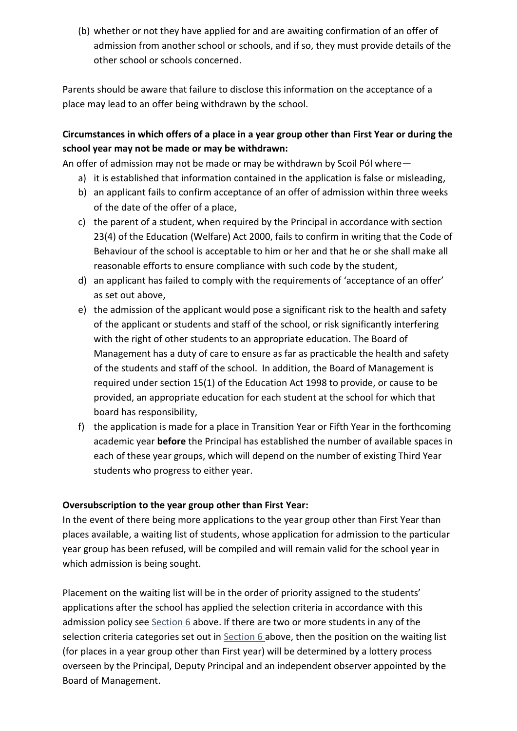(b) whether or not they have applied for and are awaiting confirmation of an offer of admission from another school or schools, and if so, they must provide details of the other school or schools concerned.

Parents should be aware that failure to disclose this information on the acceptance of a place may lead to an offer being withdrawn by the school.

# **Circumstances in which offers of a place in a year group other than First Year or during the school year may not be made or may be withdrawn:**

An offer of admission may not be made or may be withdrawn by Scoil Pól where—

- a) it is established that information contained in the application is false or misleading,
- b) an applicant fails to confirm acceptance of an offer of admission within three weeks of the date of the offer of a place,
- c) the parent of a student, when required by the Principal in accordance with section 23(4) of the Education (Welfare) Act 2000, fails to confirm in writing that the Code of Behaviour of the school is acceptable to him or her and that he or she shall make all reasonable efforts to ensure compliance with such code by the student,
- d) an applicant has failed to comply with the requirements of 'acceptance of an offer' as set out above,
- e) the admission of the applicant would pose a significant risk to the health and safety of the applicant or students and staff of the school, or risk significantly interfering with the right of other students to an appropriate education. The Board of Management has a duty of care to ensure as far as practicable the health and safety of the students and staff of the school. In addition, the Board of Management is required under section 15(1) of the Education Act 1998 to provide, or cause to be provided, an appropriate education for each student at the school for which that board has responsibility,
- f) the application is made for a place in Transition Year or Fifth Year in the forthcoming academic year **before** the Principal has established the number of available spaces in each of these year groups, which will depend on the number of existing Third Year students who progress to either year.

### **Oversubscription to the year group other than First Year:**

In the event of there being more applications to the year group other than First Year than places available, a waiting list of students, whose application for admission to the particular year group has been refused, will be compiled and will remain valid for the school year in which admission is being sought.

Placement on the waiting list will be in the order of priority assigned to the students' applications after the school has applied the selection criteria in accordance with this admission policy see Section  $6$  above. If there are two or more students in any of the selection criteria categories set out in Section 6 above, then the position on the waiting list (for places in a year group other than First year) will be determined by a lottery process overseen by the Principal, Deputy Principal and an independent observer appointed by the Board of Management.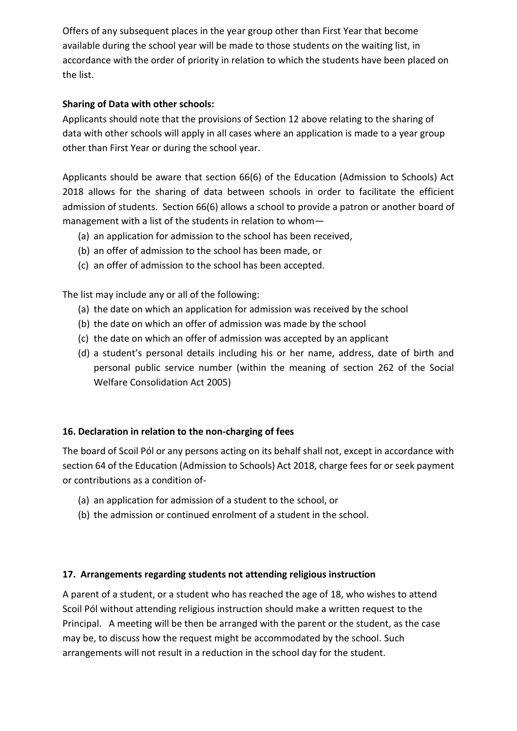Offers of any subsequent places in the year group other than First Year that become available during the school year will be made to those students on the waiting list, in accordance with the order of priority in relation to which the students have been placed on the list.

### **Sharing of Data with other schools:**

Applicants should note that the provisions of Section 12 above relating to the sharing of data with other schools will apply in all cases where an application is made to a year group other than First Year or during the school year.

Applicants should be aware that section 66(6) of the Education (Admission to Schools) Act 2018 allows for the sharing of data between schools in order to facilitate the efficient admission of students. Section 66(6) allows a school to provide a patron or another board of management with a list of the students in relation to whom—

- (a) an application for admission to the school has been received,
- (b) an offer of admission to the school has been made, or
- (c) an offer of admission to the school has been accepted.

The list may include any or all of the following:

- (a) the date on which an application for admission was received by the school
- (b) the date on which an offer of admission was made by the school
- (c) the date on which an offer of admission was accepted by an applicant
- (d) a student's personal details including his or her name, address, date of birth and personal public service number (within the meaning of section 262 of the Social Welfare Consolidation Act 2005)

### <span id="page-8-0"></span>**16. Declaration in relation to the non-charging of fees**

The board of Scoil Pól or any persons acting on its behalf shall not, except in accordance with section 64 of the Education (Admission to Schools) Act 2018, charge fees for or seek payment or contributions as a condition of-

- (a) an application for admission of a student to the school, or
- (b) the admission or continued enrolment of a student in the school.

### **17. Arrangements regarding students not attending religious instruction**

<span id="page-8-1"></span>A parent of a student, or a student who has reached the age of 18, who wishes to attend Scoil Pól without attending religious instruction should make a written request to the Principal. A meeting will be then be arranged with the parent or the student, as the case may be, to discuss how the request might be accommodated by the school. Such arrangements will not result in a reduction in the school day for the student.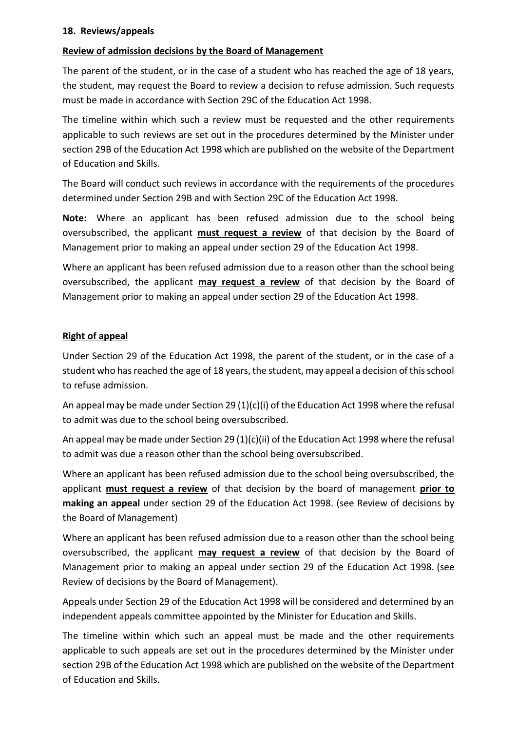#### **18. Reviews/appeals**

#### **Review of admission decisions by the Board of Management**

The parent of the student, or in the case of a student who has reached the age of 18 years, the student, may request the Board to review a decision to refuse admission. Such requests must be made in accordance with Section 29C of the Education Act 1998.

The timeline within which such a review must be requested and the other requirements applicable to such reviews are set out in the procedures determined by the Minister under section 29B of the Education Act 1998 which are published on the website of the Department of Education and Skills.

The Board will conduct such reviews in accordance with the requirements of the procedures determined under Section 29B and with Section 29C of the Education Act 1998.

**Note:** Where an applicant has been refused admission due to the school being oversubscribed, the applicant **must request a review** of that decision by the Board of Management prior to making an appeal under section 29 of the Education Act 1998.

Where an applicant has been refused admission due to a reason other than the school being oversubscribed, the applicant **may request a review** of that decision by the Board of Management prior to making an appeal under section 29 of the Education Act 1998.

#### **Right of appeal**

Under Section 29 of the Education Act 1998, the parent of the student, or in the case of a student who has reached the age of 18 years, the student, may appeal a decision of this school to refuse admission.

An appeal may be made under Section 29 (1)(c)(i) of the Education Act 1998 where the refusal to admit was due to the school being oversubscribed.

An appeal may be made under Section 29 (1)(c)(ii) of the Education Act 1998 where the refusal to admit was due a reason other than the school being oversubscribed.

Where an applicant has been refused admission due to the school being oversubscribed, the applicant **must request a review** of that decision by the board of management **prior to making an appeal** under section 29 of the Education Act 1998. (see Review of decisions by the Board of Management)

Where an applicant has been refused admission due to a reason other than the school being oversubscribed, the applicant **may request a review** of that decision by the Board of Management prior to making an appeal under section 29 of the Education Act 1998. (see Review of decisions by the Board of Management).

Appeals under Section 29 of the Education Act 1998 will be considered and determined by an independent appeals committee appointed by the Minister for Education and Skills.

The timeline within which such an appeal must be made and the other requirements applicable to such appeals are set out in the procedures determined by the Minister under section 29B of the Education Act 1998 which are published on the website of the Department of Education and Skills.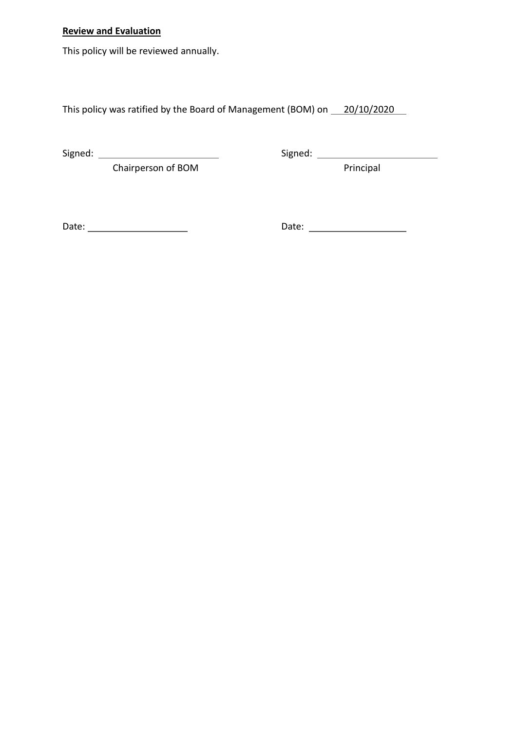# **Review and Evaluation**

This policy will be reviewed annually.

This policy was ratified by the Board of Management (BOM) on 20/10/2020

Chairperson of BOM **Principal** 

Signed: Signed:

Date: Date: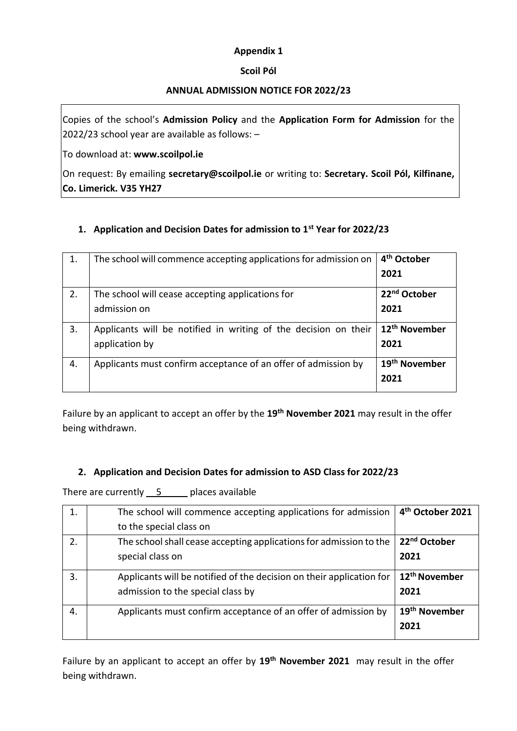#### **Appendix 1**

#### **Scoil Pól**

#### **ANNUAL ADMISSION NOTICE FOR 2022/23**

Copies of the school's **Admission Policy** and the **Application Form for Admission** for the 2022/23 school year are available as follows: –

To download at: **www.scoilpol.ie**

On request: By emailing **secretary@scoilpol.ie** or writing to: **Secretary. Scoil Pól, Kilfinane, Co. Limerick. V35 YH27**

#### **1. Application and Decision Dates for admission to 1st Year for 2022/23**

| 1. | The school will commence accepting applications for admission on                  | 4 <sup>th</sup> October<br>2021   |
|----|-----------------------------------------------------------------------------------|-----------------------------------|
| 2. | The school will cease accepting applications for<br>admission on                  | 22 <sup>nd</sup> October<br>2021  |
| 3. | Applicants will be notified in writing of the decision on their<br>application by | 12 <sup>th</sup> November<br>2021 |
| 4. | Applicants must confirm acceptance of an offer of admission by                    | 19 <sup>th</sup> November<br>2021 |

Failure by an applicant to accept an offer by the **19th November 2021** may result in the offer being withdrawn.

#### **2. Application and Decision Dates for admission to ASD Class for 2022/23**

There are currently  $5$  places available

| 1. | The school will commence accepting applications for admission        | 4 <sup>th</sup> October 2021 |
|----|----------------------------------------------------------------------|------------------------------|
|    | to the special class on                                              |                              |
| 2. | The school shall cease accepting applications for admission to the   | 22 <sup>nd</sup> October     |
|    | special class on                                                     | 2021                         |
| 3. | Applicants will be notified of the decision on their application for | 12 <sup>th</sup> November    |
|    | admission to the special class by                                    | 2021                         |
| 4. | Applicants must confirm acceptance of an offer of admission by       | 19 <sup>th</sup> November    |
|    |                                                                      | 2021                         |

Failure by an applicant to accept an offer by **19th November 2021** may result in the offer being withdrawn.